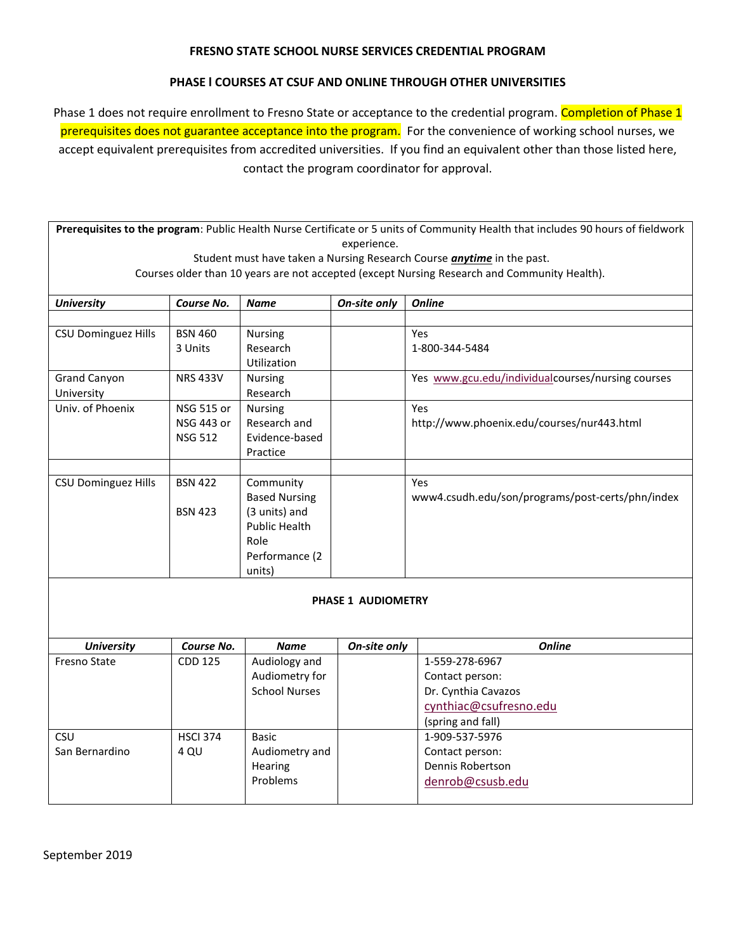## **FRESNO STATE SCHOOL NURSE SERVICES CREDENTIAL PROGRAM**

## **PHASE l COURSES AT CSUF AND ONLINE THROUGH OTHER UNIVERSITIES**

Phase 1 does not require enrollment to Fresno State or acceptance to the credential program. Completion of Phase 1 prerequisites does not guarantee acceptance into the program. For the convenience of working school nurses, we accept equivalent prerequisites from accredited universities. If you find an equivalent other than those listed here, contact the program coordinator for approval.

**Prerequisites to the program**: Public Health Nurse Certificate or 5 units of Community Health that includes 90 hours of fieldwork experience. Student must have taken a Nursing Research Course *anytime* in the past. Courses older than 10 years are not accepted (except Nursing Research and Community Health). *University Course No. Name On-site only Online* CSU Dominguez Hills | BSN 460 3 Units Nursing Research Utilization Yes 1-800-344-5484 Grand Canyon University NRS 433V Nursing Research Yes [www.gcu.edu/individualc](http://www.gcu.edu/individual)ourses/nursing courses Univ. of Phoenix NSG 515 or NSG 443 or NSG 512 Nursing Research and Evidence-based Practice Yes http://www.phoenix.edu/courses/nur443.html CSU Dominguez Hills | BSN 422 BSN 423 Community Based Nursing (3 units) and Public Health Role Performance (2 units) Yes www4.csudh.edu/son/programs/post-certs/phn/index **PHASE 1 AUDIOMETRY** *University Course No. Name On-site only Online* Fresno State CDD 125 Audiology and Audiometry for School Nurses 1-559-278-6967 Contact person: Dr. Cynthia Cavazos [cynthiac@csufresno.edu](mailto:cynthiac@csufresno.edu) (spring and fall) CSU San Bernardino HSCI 374 4 QU Basic Audiometry and **Hearing** Problems 1-909-537-5976 Contact person: Dennis Robertson [denrob@csusb.edu](mailto:denrob@csusb.edu)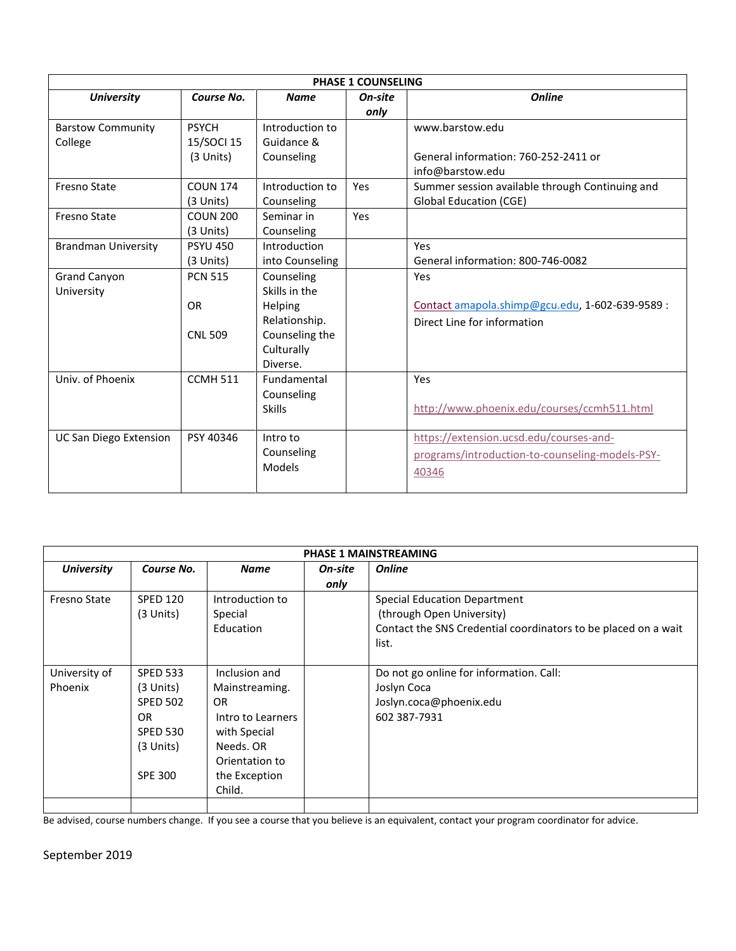| <b>PHASE 1 COUNSELING</b>     |                 |                 |         |                                                 |  |  |
|-------------------------------|-----------------|-----------------|---------|-------------------------------------------------|--|--|
| <b>University</b>             | Course No.      | <b>Name</b>     | On-site | <b>Online</b>                                   |  |  |
|                               |                 |                 | only    |                                                 |  |  |
| <b>Barstow Community</b>      | <b>PSYCH</b>    | Introduction to |         | www.barstow.edu                                 |  |  |
| College                       | 15/SOCI 15      | Guidance &      |         |                                                 |  |  |
|                               | (3 Units)       | Counseling      |         | General information: 760-252-2411 or            |  |  |
|                               |                 |                 |         | info@barstow.edu                                |  |  |
| Fresno State                  | <b>COUN 174</b> | Introduction to | Yes     | Summer session available through Continuing and |  |  |
|                               | (3 Units)       | Counseling      |         | <b>Global Education (CGE)</b>                   |  |  |
| Fresno State                  | <b>COUN 200</b> | Seminar in      | Yes     |                                                 |  |  |
|                               | (3 Units)       | Counseling      |         |                                                 |  |  |
| <b>Brandman University</b>    | <b>PSYU 450</b> | Introduction    |         | Yes                                             |  |  |
|                               | (3 Units)       | into Counseling |         | General information: 800-746-0082               |  |  |
| <b>Grand Canyon</b>           | <b>PCN 515</b>  | Counseling      |         | Yes                                             |  |  |
| University                    |                 | Skills in the   |         |                                                 |  |  |
|                               | <b>OR</b>       | Helping         |         | Contact amapola.shimp@gcu.edu, 1-602-639-9589 : |  |  |
|                               |                 | Relationship.   |         | Direct Line for information                     |  |  |
|                               | <b>CNL 509</b>  | Counseling the  |         |                                                 |  |  |
|                               |                 | Culturally      |         |                                                 |  |  |
|                               |                 | Diverse.        |         |                                                 |  |  |
| Univ. of Phoenix              | <b>CCMH 511</b> | Fundamental     |         | Yes                                             |  |  |
|                               |                 | Counseling      |         |                                                 |  |  |
|                               |                 | <b>Skills</b>   |         | http://www.phoenix.edu/courses/ccmh511.html     |  |  |
| <b>UC San Diego Extension</b> | PSY 40346       | Intro to        |         | https://extension.ucsd.edu/courses-and-         |  |  |
|                               |                 | Counseling      |         | programs/introduction-to-counseling-models-PSY- |  |  |
|                               |                 | Models          |         | 40346                                           |  |  |
|                               |                 |                 |         |                                                 |  |  |

| <b>PHASE 1 MAINSTREAMING</b> |                                                                                                          |                                                                                                                                             |                 |                                                                                                                                             |  |
|------------------------------|----------------------------------------------------------------------------------------------------------|---------------------------------------------------------------------------------------------------------------------------------------------|-----------------|---------------------------------------------------------------------------------------------------------------------------------------------|--|
| <b>University</b>            | Course No.                                                                                               | <b>Name</b>                                                                                                                                 | On-site<br>only | <b>Online</b>                                                                                                                               |  |
| <b>Fresno State</b>          | <b>SPED 120</b><br>(3 Units)                                                                             | Introduction to<br>Special<br>Education                                                                                                     |                 | <b>Special Education Department</b><br>(through Open University)<br>Contact the SNS Credential coordinators to be placed on a wait<br>list. |  |
| University of<br>Phoenix     | <b>SPED 533</b><br>(3 Units)<br><b>SPED 502</b><br>OR.<br><b>SPED 530</b><br>(3 Units)<br><b>SPE 300</b> | Inclusion and<br>Mainstreaming.<br><b>OR</b><br>Intro to Learners<br>with Special<br>Needs, OR<br>Orientation to<br>the Exception<br>Child. |                 | Do not go online for information. Call:<br>Joslyn Coca<br>Joslyn.coca@phoenix.edu<br>602 387-7931                                           |  |
|                              |                                                                                                          |                                                                                                                                             |                 |                                                                                                                                             |  |

Be advised, course numbers change. If you see a course that you believe is an equivalent, contact your program coordinator for advice.